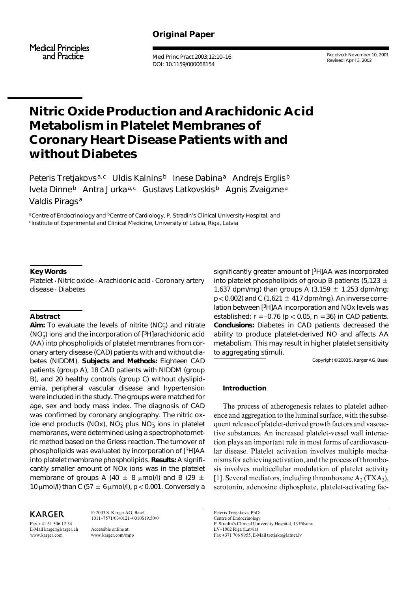# **Original Paper**

**Medical Principles** and Practice

Med Princ Pract 2003;12:10–16 DOI: 10.1159/000068154

Received: November 10, 2001 Revised: April 3, 2002

# **Nitric Oxide Production and Arachidonic Acid Metabolism in Platelet Membranes of Coronary Heart Disease Patients with and without Diabetes**

Peteris Tretjakovs<sup>a,c</sup> Uldis Kalnins<sup>b</sup> Inese Dabina<sup>a</sup> Andrejs Erglis<sup>b</sup> Iveta Dinne<sup>b</sup> Antra Jurka<sup>a,c</sup> Gustavs Latkovskis<sup>b</sup> Agnis Zvaigzne<sup>a</sup> Valdis Pirags<sup>a</sup>

aCentre of Endocrinology and <sup>b</sup>Centre of Cardiology, P. Stradin's Clinical University Hospital, and cInstitute of Experimental and Clinical Medicine, University of Latvia, Riga, Latvia

# **Key Words**

Platelet  $\cdot$  Nitric oxide  $\cdot$  Arachidonic acid  $\cdot$  Coronary artery disease · Diabetes

## **Abstract**

Aim: To evaluate the levels of nitrite (NO<sub>2</sub>) and nitrate (NO– 3) ions and the incorporation of [3H]arachidonic acid (AA) into phospholipids of platelet membranes from coronary artery disease (CAD) patients with and without diabetes (NIDDM). *Subjects and Methods:* Eighteen CAD patients (group A), 18 CAD patients with NIDDM (group B), and 20 healthy controls (group C) without dyslipidemia, peripheral vascular disease and hypertension were included in the study. The groups were matched for age, sex and body mass index. The diagnosis of CAD was confirmed by coronary angiography. The nitric oxide end products (NOx), NO<sub>2</sub> plus NO<sub>3</sub> ions in platelet membranes, were determined using a spectrophotometric method based on the Griess reaction. The turnover of phospholipids was evaluated by incorporation of [3H]AA into platelet membrane phospholipids. *Results:* A significantly smaller amount of NOx ions was in the platelet membrane of groups A (40  $\pm$  8  $\mu$ mol/l) and B (29  $\pm$ 10  $\mu$ mol/l) than C (57  $\pm$  6  $\mu$ mol/l), p < 0.001. Conversely a

**KARGER** 

Fax + 41 61 306 12 34 E-Mail karger@karger.ch www.karger.com

© 2003 S. Karger AG, Basel 1011–7571/03/0121–0010\$19.50/0 Accessible online at: www.karger.com/mpp

significantly greater amount of [3H]AA was incorporated into platelet phospholipids of group B patients (5,123  $\pm$ 1,637 dpm/mg) than groups A (3,159  $\pm$  1,253 dpm/mg;  $p < 0.002$ ) and C (1,621  $\pm$  417 dpm/mg). An inverse correlation between [3H]AA incorporation and NOx levels was established:  $r = -0.76$  ( $p < 0.05$ ,  $n = 36$ ) in CAD patients. *Conclusions:* Diabetes in CAD patients decreased the ability to produce platelet-derived NO and affects AA metabolism. This may result in higher platelet sensitivity to aggregating stimuli.

Copyright © 2003 S. Karger AG, Basel

# **Introduction**

The process of atherogenesis relates to platelet adherence and aggregation to the luminal surface, with the subsequent release of platelet-derived growth factors and vasoactive substances. An increased platelet-vessel wall interaction plays an important role in most forms of cardiovascular disease. Platelet activation involves multiple mechanisms for achieving activation, and the process of thrombosis involves multicellular modulation of platelet activity [1]. Several mediators, including thromboxane  $A_2$  (TXA<sub>2</sub>), serotonin, adenosine diphosphate, platelet-activating fac-

Peteris Tretjakovs, PhD Centre of Endocrinology P. Stradin's Clinical University Hospital, 13 Pilsonu LV–1002 Riga (Latvia) Fax +371 706 9955, E-Mail tretjako@latnet.lv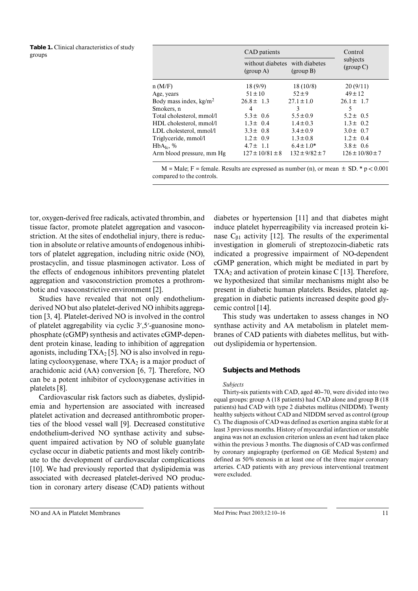| <b>Table 1.</b> Clinical characteristics of study<br>groups |                                  | CAD patients                  |                            | Control               |
|-------------------------------------------------------------|----------------------------------|-------------------------------|----------------------------|-----------------------|
|                                                             |                                  | without diabetes<br>(group A) | with diabetes<br>(group B) | subjects<br>(group C) |
|                                                             | n(M/F)                           | 18(9/9)                       | 18(10/8)                   | 20(9/11)              |
|                                                             | Age, years                       | $51 \pm 10$                   | $52 \pm 9$                 | $49 \pm 12$           |
|                                                             | Body mass index, $\text{kg/m}^2$ | $26.8 \pm 1.3$                | $27.1 \pm 1.0$             | $26.1 \pm 1.7$        |
|                                                             | Smokers, n                       | 4                             | 3                          |                       |
|                                                             | Total cholesterol, mmol/l        | $5.3 \pm 0.6$                 | $5.5 \pm 0.9$              | $5.2 \pm 0.5$         |
|                                                             | HDL cholesterol, mmol/l          | $1.3 \pm 0.4$                 | $1.4 \pm 0.3$              | $1.3 \pm 0.2$         |
|                                                             | LDL cholesterol, mmol/l          | $3.3 \pm 0.8$                 | $3.4 \pm 0.9$              | $3.0 \pm 0.7$         |
|                                                             | Triglyceride, mmol/l             | $1.2 \pm 0.9$                 | $1.3 \pm 0.8$              | $1.2 \pm 0.4$         |
|                                                             | HbA <sub>1c</sub> , %            | $4.7 \pm 1.1$                 | $6.4 \pm 1.0*$             | $3.8 \pm 0.6$         |
|                                                             | Arm blood pressure, mm Hg        | $127 \pm 10/81 \pm 8$         | $132 \pm 9/82 \pm 7$       | $126 \pm 10/80 \pm 7$ |

 $M = Male$ ; F = female. Results are expressed as number (n), or mean  $\pm SD$ . \* p < 0.001 compared to the controls.

tor, oxygen-derived free radicals, activated thrombin, and tissue factor, promote platelet aggregation and vasoconstriction. At the sites of endothelial injury, there is reduction in absolute or relative amounts of endogenous inhibitors of platelet aggregation, including nitric oxide (NO), prostacyclin, and tissue plasminogen activator. Loss of the effects of endogenous inhibitors preventing platelet aggregation and vasoconstriction promotes a prothrombotic and vasoconstrictive environment [2].

Studies have revealed that not only endotheliumderived NO but also platelet-derived NO inhibits aggregation [3, 4]. Platelet-derived NO is involved in the control of platelet aggregability via cyclic 3',5'-guanosine monophosphate (cGMP) synthesis and activates cGMP-dependent protein kinase, leading to inhibition of aggregation agonists, including  $TXA_2$  [5]. NO is also involved in regulating cyclooxygenase, where  $TXA_2$  is a major product of arachidonic acid (AA) conversion [6, 7]. Therefore, NO can be a potent inhibitor of cyclooxygenase activities in platelets [8].

Cardiovascular risk factors such as diabetes, dyslipidemia and hypertension are associated with increased platelet activation and decreased antithrombotic properties of the blood vessel wall [9]. Decreased constitutive endothelium-derived NO synthase activity and subsequent impaired activation by NO of soluble guanylate cyclase occur in diabetic patients and most likely contribute to the development of cardiovascular complications [10]. We had previously reported that dyslipidemia was associated with decreased platelet-derived NO production in coronary artery disease (CAD) patients without

diabetes or hypertension [11] and that diabetes might induce platelet hyperreagibility via increased protein kinase  $C_{\beta1}$  activity [12]. The results of the experimental investigation in glomeruli of streptozocin-diabetic rats indicated a progressive impairment of NO-dependent cGMP generation, which might be mediated in part by  $TXA<sub>2</sub>$  and activation of protein kinase C [13]. Therefore, we hypothesized that similar mechanisms might also be present in diabetic human platelets. Besides, platelet aggregation in diabetic patients increased despite good glycemic control [14].

This study was undertaken to assess changes in NO synthase activity and AA metabolism in platelet membranes of CAD patients with diabetes mellitus, but without dyslipidemia or hypertension.

## **Subjects and Methods**

#### *Subjects*

Thirty-six patients with CAD, aged 40–70, were divided into two equal groups: group A (18 patients) had CAD alone and group B (18 patients) had CAD with type 2 diabetes mellitus (NIDDM). Twenty healthy subjects without CAD and NIDDM served as control (group C). The diagnosis of CAD was defined as exertion angina stable for at least 3 previous months. History of myocardial infarction or unstable angina was not an exclusion criterion unless an event had taken place within the previous 3 months. The diagnosis of CAD was confirmed by coronary angiography (performed on GE Medical System) and defined as 50% stenosis in at least one of the three major coronary arteries. CAD patients with any previous interventional treatment were excluded.

NO and AA in Platelet Membranes Med Princ Pract 2003;12:10–16 11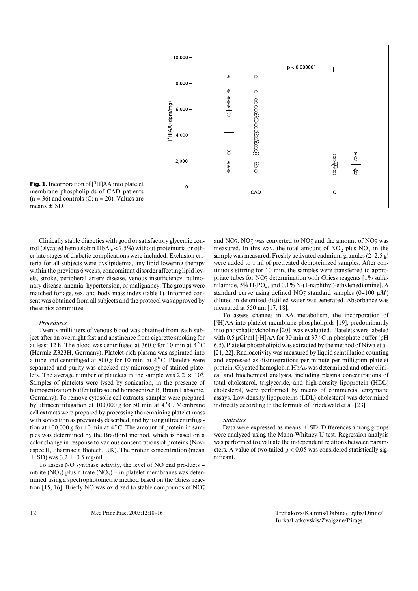

**Fig. 1.** Incorporation of [3H]AA into platelet membrane phospholipids of CAD patients  $(n = 36)$  and controls  $(C; n = 20)$ . Values are means  $\pm$  SD.

Clinically stable diabetics with good or satisfactory glycemic control (glycated hemoglobin  $HbA_{Ic}$  < 7.5%) without proteinuria or other late stages of diabetic complications were included. Exclusion criteria for all subjects were dyslipidemia, any lipid lowering therapy within the previous 6 weeks, concomitant disorder affecting lipid levels, stroke, peripheral artery disease, venous insufficiency, pulmonary disease, anemia, hypertension, or malignancy. The groups were matched for age, sex, and body mass index (table 1). Informed consent was obtained from all subjects and the protocol was approved by the ethics committee.

#### *Procedures*

Twenty milliliters of venous blood was obtained from each subject after an overnight fast and abstinence from cigarette smoking for at least 12 h. The blood was centrifuged at 360 *g* for 10 min at 4**°**C (Hermle Z323H, Germany). Platelet-rich plasma was aspirated into a tube and centrifuged at 800 *g* for 10 min, at 4**°**C. Platelets were separated and purity was checked my microscopy of stained platelets. The average number of platelets in the sample was  $2.2 \times 10^9$ . Samples of platelets were lysed by sonication, in the presence of homogenization buffer (ultrasound homogenizer B, Braun Labsonic, Germany). To remove cytosolic cell extracts, samples were prepared by ultracentrifugation at 100,000 *g* for 50 min at 4**°**C. Membrane cell extracts were prepared by processing the remaining platelet mass with sonication as previously described, and by using ultracentrifugation at 100,000 *g* for 10 min at 4**°**C. The amount of protein in samples was determined by the Bradford method, which is based on a color change in response to various concentrations of proteins (Novaspec II, Pharmacia Biotech, UK). The protein concentration (mean  $\pm$  SD) was 3.2  $\pm$  0.5 mg/ml.

To assess NO synthase activity, the level of NO end products – nitrite (NO<sub>2</sub>) plus nitrate (NO<sub>3</sub>) – in platelet membranes was determined using a spectrophotometric method based on the Griess reaction [15, 16]. Briefly NO was oxidized to stable compounds of  $NO<sub>2</sub>$ 

and  $NO_3^-$ ,  $NO_3^-$  was converted to  $NO_2^-$  and the amount of  $NO_2^-$  was measured. In this way, the total amount of  $NO<sub>2</sub><sup>-</sup>$  plus  $NO<sub>3</sub><sup>-</sup>$  in the sample was measured. Freshly activated cadmium granules (2–2.5 g) were added to 1ml of pretreated deproteinized samples. After continuous stirring for 10 min, the samples were transferred to appropriate tubes for  $NO_2^-$  determination with Griess reagents [1% sulfanilamide, 5% H3PO4, and 0.1% N-(1-naphthyl)-ethylenediamine]. A standard curve using defined  $NO_2^-$  standard samples (0–100  $\mu$ *M*) diluted in deionized distilled water was generated. Absorbance was measured at 550 nm [17, 18].

To assess changes in AA metabolism, the incorporation of [3H]AA into platelet membrane phospholipids [19], predominantly into phosphatidylcholine [20], was evaluated. Platelets were labeled with  $0.5 \mu$ Ci/ml <sup>[3</sup>H]AA for 30 min at 37<sup>°</sup>C in phosphate buffer (pH 6.5). Platelet phospholipid was extracted by the method of Niwa et al. [21, 22]. Radioactivity was measured by liquid scintillation counting and expressed as disintegrations per minute per milligram platelet protein. Glycated hemoglobin HbA<sub>Ic</sub> was determined and other clinical and biochemical analyses, including plasma concentrations of total cholesterol, triglyceride, and high-density lipoprotein (HDL) cholesterol, were performed by means of commercial enzymatic assays. Low-density lipoproteins (LDL) cholesterol was determined indirectly according to the formula of Friedewald et al. [23].

### *Statistics*

Data were expressed as means  $\pm$  SD. Differences among groups were analyzed using the Mann-Whitney U test. Regression analysis was performed to evaluate the independent relations between parameters. A value of two-tailed  $p < 0.05$  was considered statistically significant.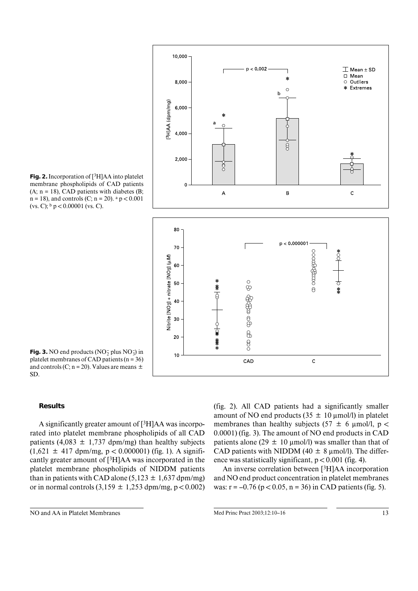

**Fig. 2.** Incorporation of [3H]AA into platelet membrane phospholipids of CAD patients  $(A; n = 18)$ , CAD patients with diabetes  $(B;$  $n = 18$ ), and controls (C;  $n = 20$ ).  $a p < 0.001$ (vs. C);  $\frac{b}{p}$   $\geq$  0.00001 (vs. C).

**Fig. 3.** NO end products  $(NO<sub>2</sub><sup>-</sup> plus NO<sub>3</sub>)$  in platelet membranes of CAD patients ( $n = 36$ ) and controls (C;  $n = 20$ ). Values are means  $\pm$ SD.

# **Results**

A significantly greater amount of [3H]AA was incorporated into platelet membrane phospholipids of all CAD patients (4,083  $\pm$  1,737 dpm/mg) than healthy subjects  $(1,621 \pm 417 \text{ dpm/mg}, p < 0.000001)$  (fig. 1). A significantly greater amount of [3H]AA was incorporated in the platelet membrane phospholipids of NIDDM patients than in patients with CAD alone  $(5,123 \pm 1,637 \text{ dpm/mg})$ or in normal controls  $(3,159 \pm 1,253 \text{ dpm/mg}, p < 0.002)$  (fig. 2). All CAD patients had a significantly smaller amount of NO end products ( $35 \pm 10 \mu$ mol/l) in platelet membranes than healthy subjects (57  $\pm$  6  $\mu$ mol/l, p < 0.0001) (fig. 3). The amount of NO end products in CAD patients alone (29  $\pm$  10 µmol/l) was smaller than that of CAD patients with NIDDM (40  $\pm$  8  $\mu$ mol/l). The difference was statistically significant,  $p < 0.001$  (fig. 4).

An inverse correlation between [3H]AA incorporation and NO end product concentration in platelet membranes was:  $r = -0.76$  ( $p < 0.05$ ,  $n = 36$ ) in CAD patients (fig. 5).

NO and AA in Platelet Membranes Med Princ Pract 2003;12:10–16 13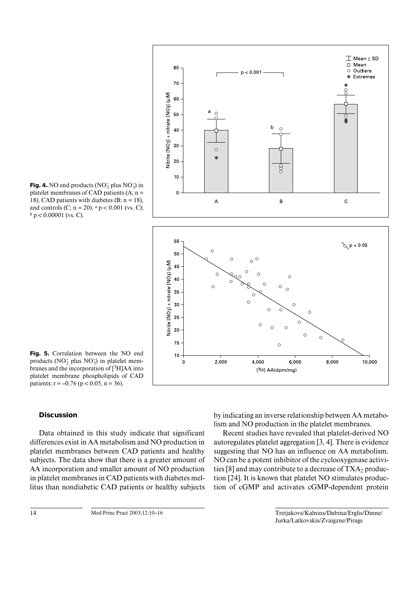

**Fig. 4.** NO end products ( $NO_2^-$  plus  $NO_3^-$ ) in platelet membranes of CAD patients  $(A; n =$ 18), CAD patients with diabetes (B;  $n = 18$ ), and controls (C;  $n = 20$ ).  $a p < 0.001$  (vs. C);  $b$  p < 0.00001 (vs. C).

**Fig. 5.** Correlation between the NO end products ( $NO<sub>2</sub><sup>-</sup>$  plus  $NO<sub>3</sub><sup>-</sup>$ ) in platelet membranes and the incorporation of [3H]AA into platelet membrane phospholipids of CAD patients:  $r = -0.76$  ( $p < 0.05$ ,  $n = 36$ ).

# **Discussion**

Data obtained in this study indicate that significant differences exist in AA metabolism and NO production in platelet membranes between CAD patients and healthy subjects. The data show that there is a greater amount of AA incorporation and smaller amount of NO production in platelet membranes in CAD patients with diabetes mellitus than nondiabetic CAD patients or healthy subjects

by indicating an inverse relationship between AA metabolism and NO production in the platelet membranes.

Recent studies have revealed that platelet-derived NO autoregulates platelet aggregation [3, 4]. There is evidence suggesting that NO has an influence on AA metabolism. NO can be a potent inhibitor of the cyclooxygenase activities [8] and may contribute to a decrease of  $TXA_2$  production [24]. It is known that platelet NO stimulates production of cGMP and activates cGMP-dependent protein

<sup>14</sup> Med Princ Pract 2003;12:10–16 Tretjakovs/Kalnins/Dabina/Erglis/Dinne/ Jurka/Latkovskis/Zvaigzne/Pirags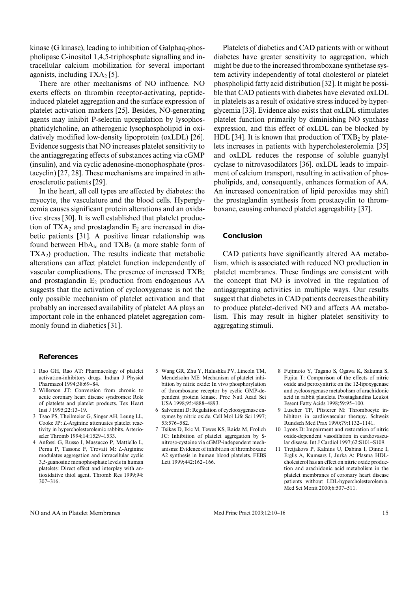kinase (G kinase), leading to inhibition of Galphaq-phospholipase C-inositol 1,4,5-triphosphate signalling and intracellular calcium mobilization for several important agonists, including  $TXA_2$  [5].

There are other mechanisms of NO influence. NO exerts effects on thrombin receptor-activating, peptideinduced platelet aggregation and the surface expression of platelet activation markers [25]. Besides, NO-generating agents may inhibit P-selectin upregulation by lysophosphatidylcholine, an atherogenic lysophospholipid in oxidatively modified low-density lipoprotein (oxLDL) [26]. Evidence suggests that NO increases platelet sensitivity to the antiaggregating effects of substances acting via cGMP (insulin), and via cyclic adenosine-monophosphate (prostacyclin) [27, 28]. These mechanisms are impaired in atherosclerotic patients [29].

In the heart, all cell types are affected by diabetes: the myocyte, the vasculature and the blood cells. Hyperglycemia causes significant protein alterations and an oxidative stress [30]. It is well established that platelet production of  $TXA_2$  and prostaglandin  $E_2$  are increased in diabetic patients [31]. A positive linear relationship was found between  $HbA_{Ic}$  and  $TXB_2$  (a more stable form of  $TXA<sub>2</sub>$ ) production. The results indicate that metabolic alterations can affect platelet function independently of vascular complications. The presence of increased  $TXB<sub>2</sub>$ and prostaglandin  $E_2$  production from endogenous AA suggests that the activation of cyclooxygenase is not the only possible mechanism of platelet activation and that probably an increased availability of platelet AA plays an important role in the enhanced platelet aggregation commonly found in diabetics [31].

Platelets of diabetics and CAD patients with or without diabetes have greater sensitivity to aggregation, which might be due to the increased thromboxane synthetase system activity independently of total cholesterol or platelet phospholipid fatty acid distribution [32]. It might be possible that CAD patients with diabetes have elevated oxLDL in platelets as a result of oxidative stress induced by hyperglycemia [33]. Evidence also exists that oxLDL stimulates platelet function primarily by diminishing NO synthase expression, and this effect of oxLDL can be blocked by HDL [34]. It is known that production of  $TXB<sub>2</sub>$  by platelets increases in patients with hypercholesterolemia [35] and oxLDL reduces the response of soluble guanylyl cyclase to nitrovasodilators [36]. oxLDL leads to impairment of calcium transport, resulting in activation of phospholipids, and, consequently, enhances formation of AA. An increased concentration of lipid peroxides may shift the prostaglandin synthesis from prostacyclin to thromboxane, causing enhanced platelet aggregability [37].

## **Conclusion**

CAD patients have significantly altered AA metabolism, which is associated with reduced NO production in platelet membranes. These findings are consistent with the concept that NO is involved in the regulation of antiaggregating activities in multiple ways. Our results suggest that diabetes in CAD patients decreases the ability to produce platelet-derived NO and affects AA metabolism. This may result in higher platelet sensitivity to aggregating stimuli.

## **References**

- 1Rao GH, Rao AT: Pharmacology of platelet activation-inhibitory drugs. Indian J Physiol Pharmacol 1994;38:69–84.
- 2 Willerson JT: Conversion from chronic to acute coronary heart disease syndromes: Role of platelets and platelet products. Tex Heart Inst J 1995;22:13–19.
- 3 Tsao PS, Theilmeier G, Singer AH, Leung LL, Cooke JP: *L*-Arginine attenuates platelet reactivity in hypercholesterolemic rabbits. Arterioscler Thromb 1994;14:1529–1533.
- 4 Anfossi G, Russo I, Massucco P, Mattiello L, Perna P, Tassone F, Trovati M: *L*-Arginine modulates aggregation and intracellular cyclic 3,5-guanosine monophosphate levels in human platelets: Direct effect and interplay with antioxidative thiol agent. Thromb Res 1999;94: 307–316.
- 5 Wang GR, Zhu Y, Halushka PV, Lincoln TM, Mendelsohn ME: Mechanism of platelet inhibition by nitric oxide: In vivo phosphorylation of thromboxane receptor by cyclic GMP-dependent protein kinase. Proc Natl Acad Sci USA 1998;95:4888–4893.
- 6 Salvemini D: Regulation of cyclooxygenase enzymes by nitric oxide. Cell Mol Life Sci 1997; 53:576–582.
- 7 Tsikas D, Ikic M, Tewes KS, Raida M, Frolich JC: Inhibition of platelet aggregation by Snitroso-cysteine via cGMP-independent mechanisms: Evidence of inhibition of thromboxane A2 synthesis in human blood platelets. FEBS Lett 1999;442:162–166.
- 8 Fujimoto Y, Tagano S, Ogawa K, Sakuma S, Fujita T: Comparison of the effects of nitric oxide and peroxynitrite on the 12-lipoxygenase and cyclooxygenase metabolism of arachidonic acid in rabbit platelets. Prostaglandins Leukot Essent Fatty Acids 1998;59:95–100.
- 9 Luscher TF, Pfisterer M: Thrombocyte inhibitors in cardiovascular therapy. Schweiz Rundsch Med Prax 1990;79:1132–1141.
- 10 Lyons D: Impairment and restoration of nitric oxide-dependent vasodilation in cardiovascular disease. Int J Cardiol 1997;62:S101–S109.
- 11 Tretjakovs P, Kalnins U, Dabina I, Dinne I, Erglis A, Kumsars I, Jurka A: Plasma HDLcholesterol has an effect on nitric oxide production and arachidonic acid metabolism in the platelet membranes of coronary heart disease patients without LDL-hypercholesterolemia. Med Sci Monit 2000;6:507–511.

NO and AA in Platelet Membranes Med Princ Pract 2003;12:10–16 15